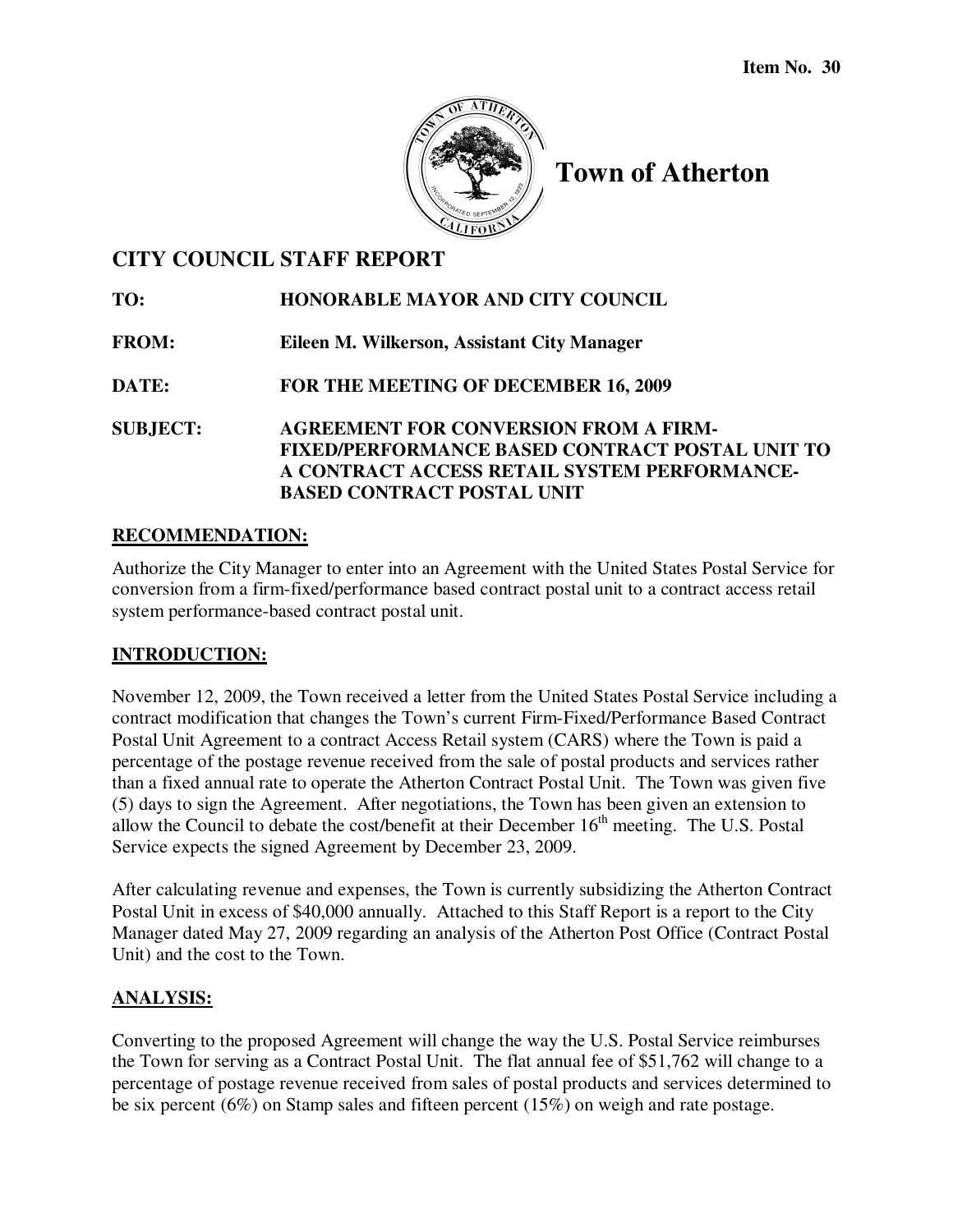

# **Town of Atherton**

# **CITY COUNCIL STAFF REPORT**

**TO: HONORABLE MAYOR AND CITY COUNCIL** 

**FROM: Eileen M. Wilkerson, Assistant City Manager** 

**DATE: FOR THE MEETING OF DECEMBER 16, 2009** 

**SUBJECT: AGREEMENT FOR CONVERSION FROM A FIRM-FIXED/PERFORMANCE BASED CONTRACT POSTAL UNIT TO A CONTRACT ACCESS RETAIL SYSTEM PERFORMANCE-BASED CONTRACT POSTAL UNIT**

#### **RECOMMENDATION:**

Authorize the City Manager to enter into an Agreement with the United States Postal Service for conversion from a firm-fixed/performance based contract postal unit to a contract access retail system performance-based contract postal unit.

## **INTRODUCTION:**

November 12, 2009, the Town received a letter from the United States Postal Service including a contract modification that changes the Town's current Firm-Fixed/Performance Based Contract Postal Unit Agreement to a contract Access Retail system (CARS) where the Town is paid a percentage of the postage revenue received from the sale of postal products and services rather than a fixed annual rate to operate the Atherton Contract Postal Unit. The Town was given five (5) days to sign the Agreement. After negotiations, the Town has been given an extension to allow the Council to debate the cost/benefit at their December  $16<sup>th</sup>$  meeting. The U.S. Postal Service expects the signed Agreement by December 23, 2009.

After calculating revenue and expenses, the Town is currently subsidizing the Atherton Contract Postal Unit in excess of \$40,000 annually. Attached to this Staff Report is a report to the City Manager dated May 27, 2009 regarding an analysis of the Atherton Post Office (Contract Postal Unit) and the cost to the Town.

#### **ANALYSIS:**

Converting to the proposed Agreement will change the way the U.S. Postal Service reimburses the Town for serving as a Contract Postal Unit. The flat annual fee of \$51,762 will change to a percentage of postage revenue received from sales of postal products and services determined to be six percent (6%) on Stamp sales and fifteen percent (15%) on weigh and rate postage.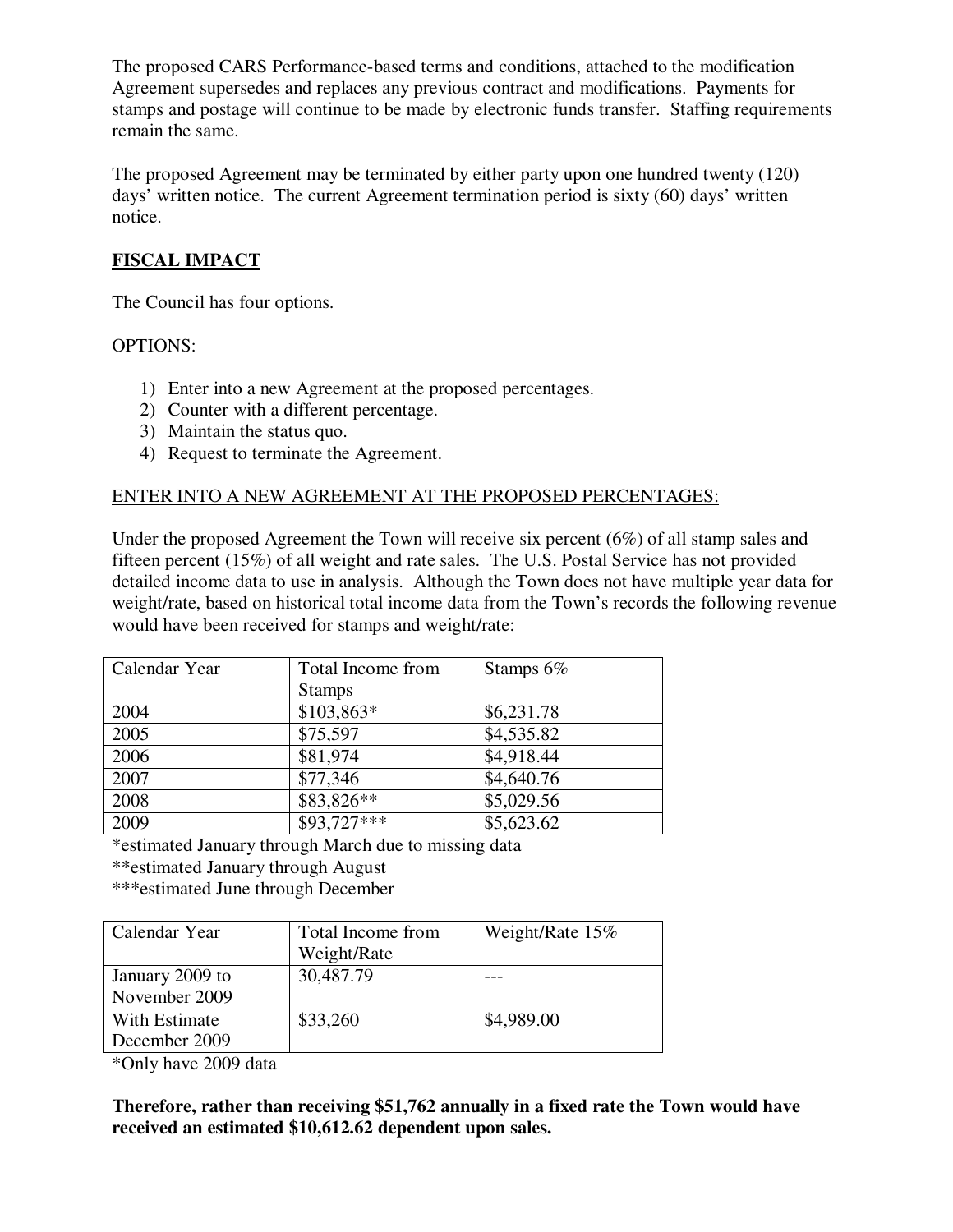The proposed CARS Performance-based terms and conditions, attached to the modification Agreement supersedes and replaces any previous contract and modifications. Payments for stamps and postage will continue to be made by electronic funds transfer. Staffing requirements remain the same.

The proposed Agreement may be terminated by either party upon one hundred twenty (120) days' written notice. The current Agreement termination period is sixty (60) days' written notice.

## **FISCAL IMPACT**

The Council has four options.

## OPTIONS:

- 1) Enter into a new Agreement at the proposed percentages.
- 2) Counter with a different percentage.
- 3) Maintain the status quo.
- 4) Request to terminate the Agreement.

## ENTER INTO A NEW AGREEMENT AT THE PROPOSED PERCENTAGES:

Under the proposed Agreement the Town will receive six percent (6%) of all stamp sales and fifteen percent (15%) of all weight and rate sales. The U.S. Postal Service has not provided detailed income data to use in analysis. Although the Town does not have multiple year data for weight/rate, based on historical total income data from the Town's records the following revenue would have been received for stamps and weight/rate:

| Calendar Year | Total Income from | Stamps $6\%$ |
|---------------|-------------------|--------------|
|               | <b>Stamps</b>     |              |
| 2004          | $$103,863*$       | \$6,231.78   |
| 2005          | \$75,597          | \$4,535.82   |
| 2006          | \$81,974          | \$4,918.44   |
| 2007          | \$77,346          | \$4,640.76   |
| 2008          | \$83,826**        | \$5,029.56   |
| 2009          | $$93,727***$      | \$5,623.62   |

\*estimated January through March due to missing data

\*\*estimated January through August

\*\*\*estimated June through December

| Calendar Year   | Total Income from | Weight/Rate 15% |
|-----------------|-------------------|-----------------|
|                 | Weight/Rate       |                 |
| January 2009 to | 30,487.79         |                 |
| November 2009   |                   |                 |
| With Estimate   | \$33,260          | \$4,989.00      |
| December 2009   |                   |                 |

\*Only have 2009 data

**Therefore, rather than receiving \$51,762 annually in a fixed rate the Town would have received an estimated \$10,612.62 dependent upon sales.**